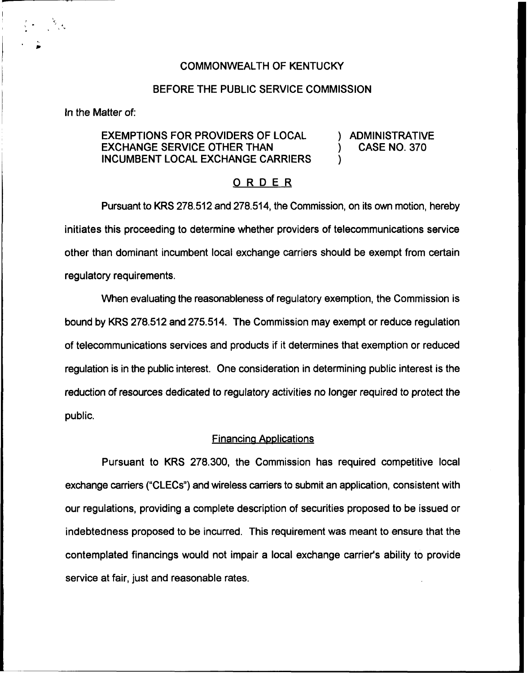## COMMONWEALTH OF KENTUCKY

## BEFORE THE PUBLIC SERVICE COMMISSION

In the Matter of:

# EXEMPTIONS FOR PROVIDERS OF LOCAL  $\qquad$ ) ADMINISTRATIVE<br>EXCHANGE SERVICE OTHER THAN  $\qquad$ ) CASE NO. 370 **EXCHANGE SERVICE OTHER THAN** INCUMBENT LOCAL EXCHANGE CARRIERS

#### ORDER

Pursuant to KRS 278.512 and 278.514, the Commission, on its own motion, hereby initiates this proceeding to determine whether providers of telecommunications service other than dominant incumbent local exchange carriers should be exempt from certain regulatory requirements.

When evaluating the reasonableness of regulatory exemption, the Commission is bound by KRS 278.512 and 275.514, The Commission may exempt or reduce regulation of telecommunications services and products if it determines that exemption or reduced regulation is in the public interest. One consideration in determining public interest is the reduction of resources dedicated to regulatory activities no longer required to protect the public.

#### **Financing Applications**

Pursuant to KRS 278.300, the Commission has required competitive local exchange carriers ("CLECs") and wireless carriers to submit an application, consistent with our regulations, providing a complete description of securities proposed to be issued or indebtedness proposed to be incurred. This requirement was meant to ensure that the contemplated financings would not impair a local exchange carrier's ability to provide service at fair, just and reasonable rates.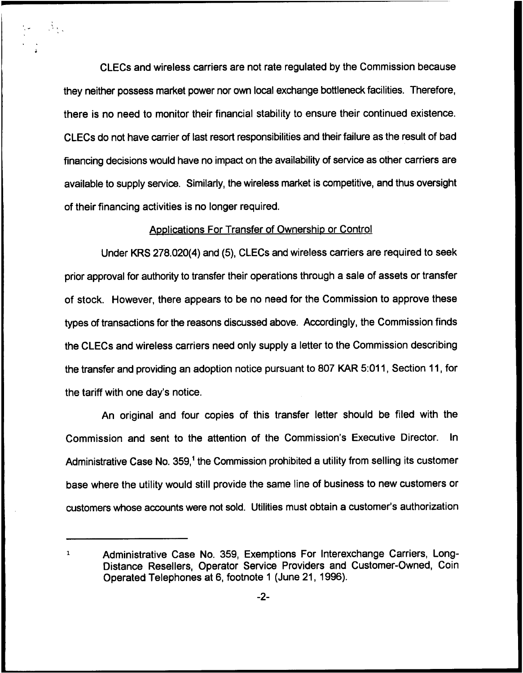CLECs and wireless carriers are not rate regulated by the Commission because they neither possess market power nor own local exchange bottleneck facilities. Therefore, there is no need to monitor their financial stability to ensure their continued existence. CLECs do not have carrier of last resort responsibilities and their failure as the result of bad financing decisions would have no impact on the availability of service as other carriers are available to supply service. Similarly, the wireless market is competitive, and thus oversight of their financing activities is no longer required.

a, Vilag

#### Applications For Transfer of Ownership or Control

Under KRS 2?8.020(4) and (5), CLECs and wireless carriers are required to seek prior approval for authority to transfer their operations through a sale of assets or transfer of stock. However, there appears to be no need for the Commission to approve these types of transactions for the reasons discussed above. Accordingly, the Commission finds the CLECs and wireless carriers need only supply a letter to the Commission describing the transfer and providing an adoption notice pursuant to 807 KAR 5:011, Section 11, for the tariff with one day's notice.

An original and four copies of this transfer letter should be filed with the Commission and sent to the attention of the Commission's Executive Director. In Administrative Case No. 359,<sup>1</sup> the Commission prohibited a utility from selling its customer base where the utility would still provide the same line of business to new customers or customers whose accounts were not sold. Utilities must obtain a customer's authorization

Administrative Case No. 359, Exemptions For Interexchange Carriers, Long-Distance Resellers, Operator Service Providers and Customer-Owned, Coin Operated Telephones at 6, footnote <sup>1</sup> (June 21, 1996).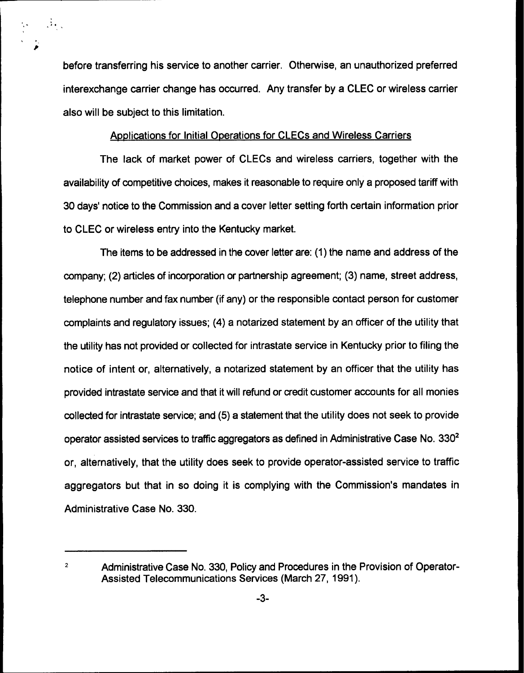before transferring his service to another carrier. Otherwise, an unauthorized preferred interexchange carrier change has occurred. Any transfer by a CLEC or wireless carrier also will be subject to this limitation.

 $\mathbb{R}^3$ 

# Apolications for Initial Operations for CLECs and Wireless Carriers

The lack of market power of CLECs and wireless carriers, together with the availability of competitive choices, makes it reasonable to require only a proposed tariff with 30 days' notice to the Commission and a cover letter setting forth certain information prior to CLEC or wireless entry into the Kentucky market.

The items to be addressed in the cover letter are: (1) the name and address of the company; (2) articles of incorporation or partnership agreement; (3) name, street address, telephone number and fax number (if any) or the responsible contact person for customer complaints and regulatory issues; (4) a notarized statement by an officer of the utility that the utility has not provided or collected for intrastate service in Kentucky prior to filing the notice of intent or, alternatively, a notarized statement by an officer that the utility has provided intrastate service and that it will refund or credit customer accounts for all monies collected for intrastate service; and (5) a statement that the utility does not seek to provide operator assisted services to traffic aggregators as defined in Administrative Case No.  $330<sup>2</sup>$ alternatively, that the utility does seek to provide operator-assisted service to traffic aggregators but that in so doing it is complying with the Commission's mandates in Administrative Case No. 330.

 $\overline{2}$ Administrative Case No. 330, Policy and Procedures in the Provision of Operator-Assisted Telecommunications Services (March 27, 1991).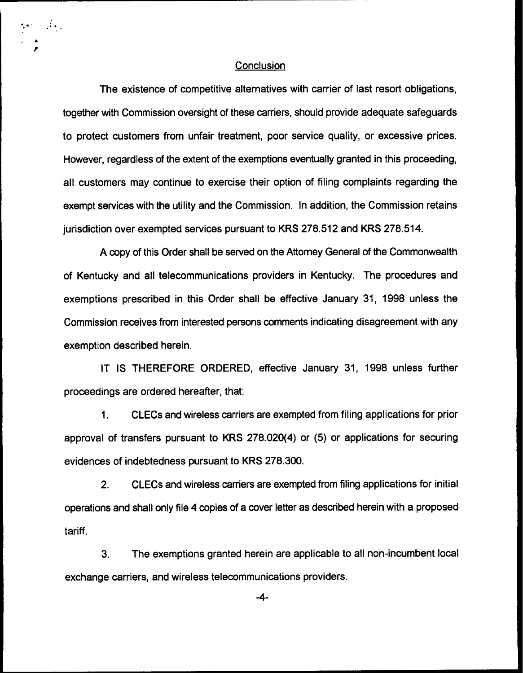#### **Conclusion**

 $\label{eq:expansion} \mathcal{E}_\mathbf{z}(\mathbf{x}) = \mathcal{E}_\mathbf{z}(\mathbf{x})$ 

The existence of competitive alternatives with carrier of last resort obligations, together with Commission oversight of these carriers, should provide adequate safeguards to protect customers from unfair treatment, poor service quality, or excessive prices. However, regardless of the extent of the exemptions eventually granted in this proceeding, all customers may continue to exercise their option of filing complaints regarding the exempt services with the utility and the Commission. In addition, the Commission retains jurisdiction over exempted services pursuant to KRS 278.512 and KRS 278.514.

A copy of this Order shall be served on the Attorney General of the Commonwealth of Kentucky and all telecommunications providers in Kentucky. The procedures and exemptions prescribed in this Order shall be effective January 31, 1998 unless the Commission receives from interested persons comments indicating disagreement with any exemption described herein.

IT IS THEREFORE ORDERED, effective January 31, 1998 unless further proceedings are ordered hereafter, that:

 $1<sub>1</sub>$ CLECs and wireless carriers are exempted from filing applications for prior approval of transfers pursuant to KRS 278,020(4) or (5) or applications for securing evidences of indebtedness pursuant to KRS 278.300.

2. CLECs and wireless carriers are exempted from filing applications for initial operations and shall only file 4 copies of a cover letter as described herein with a proposed tariff.

3. The exemptions granted herein are applicable to all non-incumbent local exchange carriers, and wireless telecommunications providers.

-4-